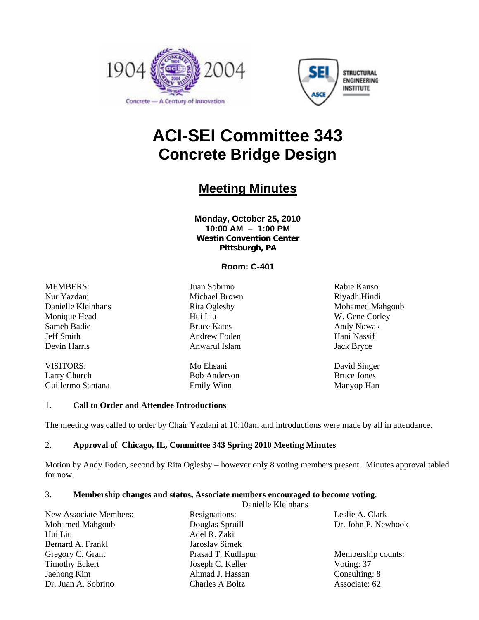



# **ACI-SEI Committee 343 Concrete Bridge Design**

## **Meeting Minutes**

**Monday, October 25, 2010 10:00 AM – 1:00 PM Westin Convention Center Pittsburgh, PA** 

### **Room: C-401**

MEMBERS: Nur Yazdani Danielle Kleinhans Monique Head Sameh Badie Jeff Smith Devin Harris

VISITORS: Larry Church Guillermo Santana

Juan Sobrino Michael Brown Rita Oglesby Hui Liu Bruce Kates Andrew Foden Anwarul Islam

Mo Ehsani Bob Anderson Emily Winn

Rabie Kanso Riyadh Hindi Mohamed Mahgoub W. Gene Corley Andy Nowak Hani Nassif Jack Bryce

David Singer Bruce Jones Manyop Han

#### 1. **Call to Order and Attendee Introductions**

The meeting was called to order by Chair Yazdani at 10:10am and introductions were made by all in attendance.

#### 2. **Approval of Chicago, IL, Committee 343 Spring 2010 Meeting Minutes**

Motion by Andy Foden, second by Rita Oglesby – however only 8 voting members present. Minutes approval tabled for now.

#### 3. **Membership changes and status, Associate members encouraged to become voting**.

|                        | Danielle Kleinhans     |                 |
|------------------------|------------------------|-----------------|
| New Associate Members: | Resignations:          | Leslie A. Clark |
| <b>Mohamed Mahgoub</b> | Douglas Spruill        |                 |
| Hui Liu                | Adel R. Zaki           |                 |
| Bernard A. Frankl      | Jaroslav Simek         |                 |
| Gregory C. Grant       | Prasad T. Kudlapur     |                 |
| <b>Timothy Eckert</b>  | Joseph C. Keller       | Voting: 37      |
| Jaehong Kim            | Ahmad J. Hassan        | Consulting: 8   |
| Dr. Juan A. Sobrino    | <b>Charles A Boltz</b> | Associate: 62   |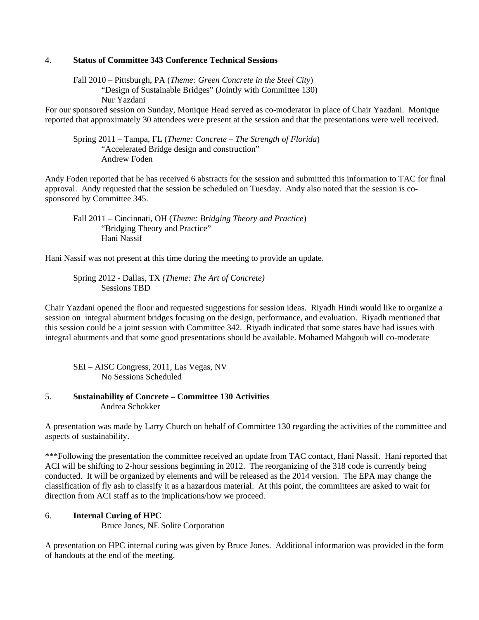#### 4. **Status of Committee 343 Conference Technical Sessions**

 Fall 2010 – Pittsburgh, PA (*Theme: Green Concrete in the Steel City*) "Design of Sustainable Bridges" (Jointly with Committee 130) Nur Yazdani

For our sponsored session on Sunday, Monique Head served as co-moderator in place of Chair Yazdani. Monique reported that approximately 30 attendees were present at the session and that the presentations were well received.

 Spring 2011 – Tampa, FL (*Theme: Concrete – The Strength of Florida*) "Accelerated Bridge design and construction" Andrew Foden

Andy Foden reported that he has received 6 abstracts for the session and submitted this information to TAC for final approval. Andy requested that the session be scheduled on Tuesday. Andy also noted that the session is cosponsored by Committee 345.

 Fall 2011 – Cincinnati, OH (*Theme: Bridging Theory and Practice*) "Bridging Theory and Practice" Hani Nassif

Hani Nassif was not present at this time during the meeting to provide an update.

 Spring 2012 - Dallas, TX *(Theme: The Art of Concrete)* Sessions TBD

Chair Yazdani opened the floor and requested suggestions for session ideas. Riyadh Hindi would like to organize a session on integral abutment bridges focusing on the design, performance, and evaluation. Riyadh mentioned that this session could be a joint session with Committee 342. Riyadh indicated that some states have had issues with integral abutments and that some good presentations should be available. Mohamed Mahgoub will co-moderate

 SEI – AISC Congress, 2011, Las Vegas, NV No Sessions Scheduled

#### 5. **Sustainability of Concrete – Committee 130 Activities** Andrea Schokker

A presentation was made by Larry Church on behalf of Committee 130 regarding the activities of the committee and aspects of sustainability.

\*\*\*Following the presentation the committee received an update from TAC contact, Hani Nassif. Hani reported that ACI will be shifting to 2-hour sessions beginning in 2012. The reorganizing of the 318 code is currently being conducted. It will be organized by elements and will be released as the 2014 version. The EPA may change the classification of fly ash to classify it as a hazardous material. At this point, the committees are asked to wait for direction from ACI staff as to the implications/how we proceed.

#### 6. **Internal Curing of HPC**

Bruce Jones, NE Solite Corporation

A presentation on HPC internal curing was given by Bruce Jones. Additional information was provided in the form of handouts at the end of the meeting.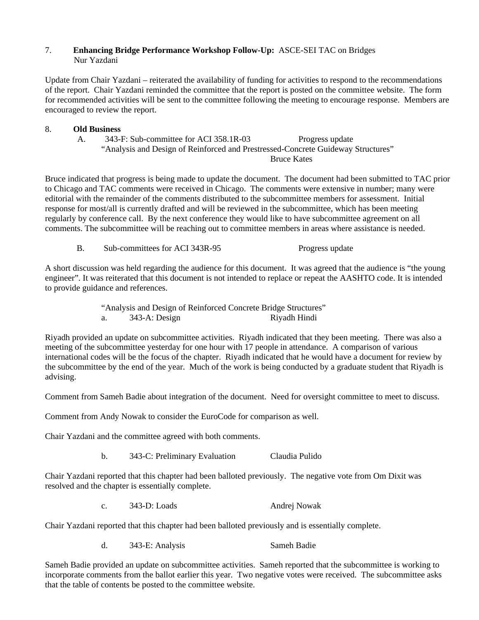#### 7. **Enhancing Bridge Performance Workshop Follow-Up:** ASCE-SEI TAC on Bridges Nur Yazdani

Update from Chair Yazdani – reiterated the availability of funding for activities to respond to the recommendations of the report. Chair Yazdani reminded the committee that the report is posted on the committee website. The form for recommended activities will be sent to the committee following the meeting to encourage response. Members are encouraged to review the report.

#### 8. **Old Business**

A. 343-F: Sub-committee for ACI 358.1R-03 Progress update "Analysis and Design of Reinforced and Prestressed-Concrete Guideway Structures" Bruce Kates

Bruce indicated that progress is being made to update the document. The document had been submitted to TAC prior to Chicago and TAC comments were received in Chicago. The comments were extensive in number; many were editorial with the remainder of the comments distributed to the subcommittee members for assessment. Initial response for most/all is currently drafted and will be reviewed in the subcommittee, which has been meeting regularly by conference call. By the next conference they would like to have subcommittee agreement on all comments. The subcommittee will be reaching out to committee members in areas where assistance is needed.

B. Sub-committees for ACI 343R-95 Progress update

A short discussion was held regarding the audience for this document. It was agreed that the audience is "the young engineer". It was reiterated that this document is not intended to replace or repeat the AASHTO code. It is intended to provide guidance and references.

> "Analysis and Design of Reinforced Concrete Bridge Structures" a. 343-A: Design Riyadh Hindi

Riyadh provided an update on subcommittee activities. Riyadh indicated that they been meeting. There was also a meeting of the subcommittee yesterday for one hour with 17 people in attendance. A comparison of various international codes will be the focus of the chapter. Riyadh indicated that he would have a document for review by the subcommittee by the end of the year. Much of the work is being conducted by a graduate student that Riyadh is advising.

Comment from Sameh Badie about integration of the document. Need for oversight committee to meet to discuss.

Comment from Andy Nowak to consider the EuroCode for comparison as well.

Chair Yazdani and the committee agreed with both comments.

b. 343-C: Preliminary Evaluation Claudia Pulido

Chair Yazdani reported that this chapter had been balloted previously. The negative vote from Om Dixit was resolved and the chapter is essentially complete.

c. 343-D: Loads Andrej Nowak

Chair Yazdani reported that this chapter had been balloted previously and is essentially complete.

d. 343-E: Analysis Sameh Badie

Sameh Badie provided an update on subcommittee activities. Sameh reported that the subcommittee is working to incorporate comments from the ballot earlier this year. Two negative votes were received. The subcommittee asks that the table of contents be posted to the committee website.